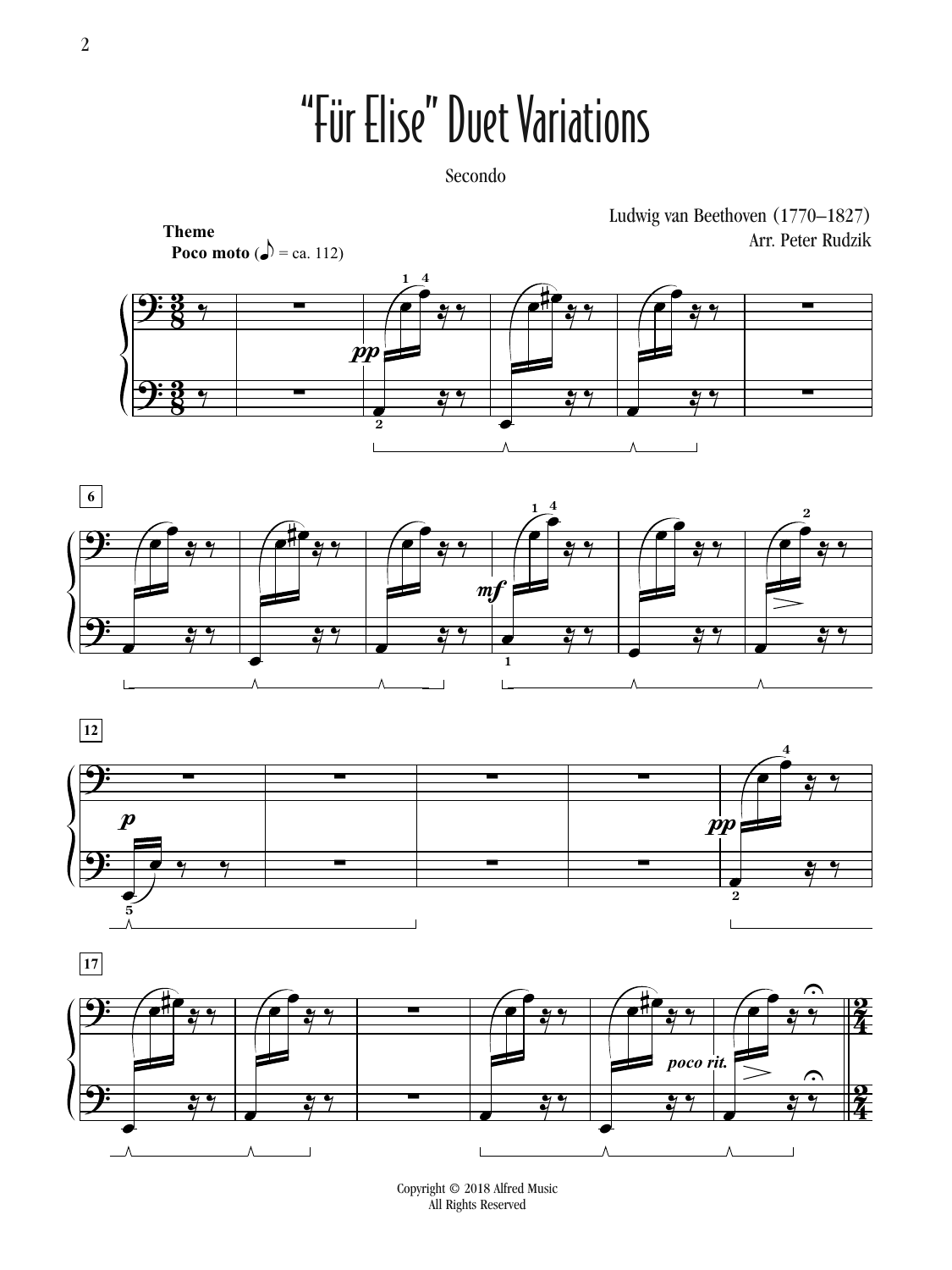## "Für Elise" Duet Variations

Secondo









Copyright © 2018 Alfred Music All Rights Reserved